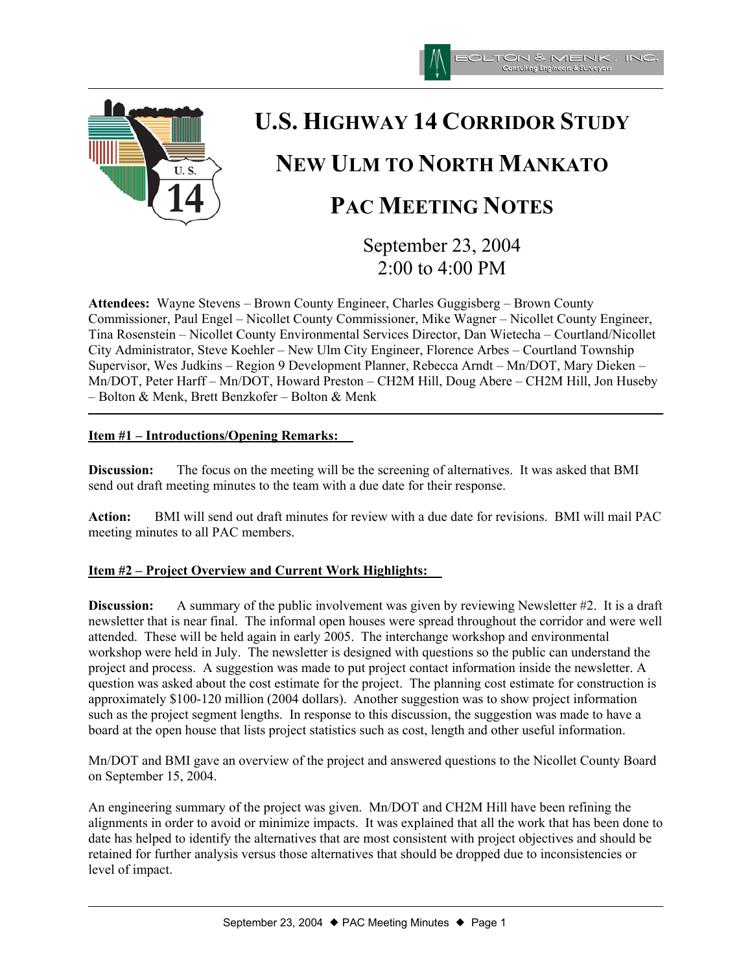



# **U.S. HIGHWAY 14 CORRIDOR STUDY NEW ULM TO NORTH MANKATO PAC MEETING NOTES**

September 23, 2004 2:00 to 4:00 PM

**Attendees:** Wayne Stevens – Brown County Engineer, Charles Guggisberg – Brown County Commissioner, Paul Engel – Nicollet County Commissioner, Mike Wagner – Nicollet County Engineer, Tina Rosenstein – Nicollet County Environmental Services Director, Dan Wietecha – Courtland/Nicollet City Administrator, Steve Koehler – New Ulm City Engineer, Florence Arbes – Courtland Township Supervisor, Wes Judkins – Region 9 Development Planner, Rebecca Arndt – Mn/DOT, Mary Dieken – Mn/DOT, Peter Harff – Mn/DOT, Howard Preston – CH2M Hill, Doug Abere – CH2M Hill, Jon Huseby – Bolton & Menk, Brett Benzkofer – Bolton & Menk

### **Item #1 – Introductions/Opening Remarks:**

**Discussion:** The focus on the meeting will be the screening of alternatives. It was asked that BMI send out draft meeting minutes to the team with a due date for their response.

**Action:** BMI will send out draft minutes for review with a due date for revisions. BMI will mail PAC meeting minutes to all PAC members.

## **Item #2 – Project Overview and Current Work Highlights:**

**Discussion:** A summary of the public involvement was given by reviewing Newsletter #2. It is a draft newsletter that is near final. The informal open houses were spread throughout the corridor and were well attended. These will be held again in early 2005. The interchange workshop and environmental workshop were held in July. The newsletter is designed with questions so the public can understand the project and process. A suggestion was made to put project contact information inside the newsletter. A question was asked about the cost estimate for the project. The planning cost estimate for construction is approximately \$100-120 million (2004 dollars). Another suggestion was to show project information such as the project segment lengths. In response to this discussion, the suggestion was made to have a board at the open house that lists project statistics such as cost, length and other useful information.

Mn/DOT and BMI gave an overview of the project and answered questions to the Nicollet County Board on September 15, 2004.

An engineering summary of the project was given. Mn/DOT and CH2M Hill have been refining the alignments in order to avoid or minimize impacts. It was explained that all the work that has been done to date has helped to identify the alternatives that are most consistent with project objectives and should be retained for further analysis versus those alternatives that should be dropped due to inconsistencies or level of impact.